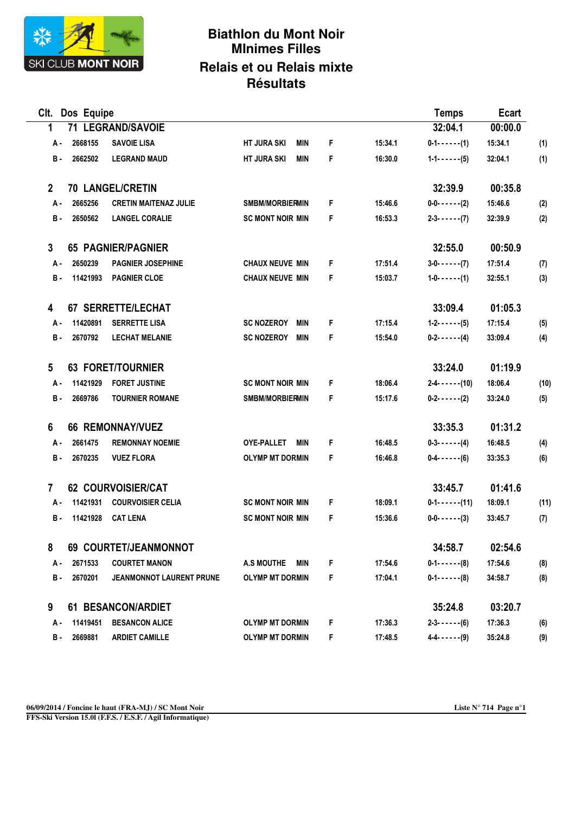

## **Biathlon du Mont Noir MInimes Filles Relais et ou Relais mixte Résultats**

| Clt. Dos Equipe         |                              |                                 |                                  |    |         |                         | Ecart   |      |
|-------------------------|------------------------------|---------------------------------|----------------------------------|----|---------|-------------------------|---------|------|
| 1                       |                              | 71 LEGRAND/SAVOIE               |                                  |    |         | 32:04.1                 | 00:00.0 |      |
| А -                     | 2668155                      | <b>SAVOIE LISA</b>              | <b>HT JURA SKI</b><br><b>MIN</b> | F  | 15:34.1 | $0-1-(-1)$              | 15:34.1 | (1)  |
| <b>B</b> -              | 2662502                      | <b>LEGRAND MAUD</b>             | <b>HT JURA SKI</b><br>MIN        | F  | 16:30.0 | $1 - 1 - \cdots - (5)$  | 32:04.1 | (1)  |
| $\mathbf{2}$            |                              | <b>70 LANGEL/CRETIN</b>         |                                  |    |         | 32:39.9                 | 00:35.8 |      |
| А-                      | 2665256                      | <b>CRETIN MAITENAZ JULIE</b>    | <b>SMBM/MORBIERMIN</b>           | F  | 15:46.6 | $0 - 0 - 0 - 0 - (2)$   | 15:46.6 | (2)  |
| <b>B</b> -              | 2650562                      | <b>LANGEL CORALIE</b>           | <b>SC MONT NOIR MIN</b>          | F. | 16:53.3 | $2 - 3 - - - - (7)$     | 32:39.9 | (2)  |
| 3                       |                              | <b>65 PAGNIER/PAGNIER</b>       |                                  |    |         | 32:55.0                 | 00:50.9 |      |
| А.                      | 2650239                      | <b>PAGNIER JOSEPHINE</b>        | <b>CHAUX NEUVE MIN</b>           | F  | 17:51.4 | $3 - 0 - 1 - 1$ (7)     | 17:51.4 | (7)  |
| в.                      | 11421993                     | <b>PAGNIER CLOE</b>             | <b>CHAUX NEUVE MIN</b>           | F  | 15:03.7 | $1 - 0 - 1 - 1$ (1)     | 32:55.1 | (3)  |
| 4                       | 67 SERRETTE/LECHAT           |                                 |                                  |    |         | 33:09.4                 | 01:05.3 |      |
| А.                      | 11420891                     | <b>SERRETTE LISA</b>            | <b>SC NOZEROY</b><br><b>MIN</b>  | F  | 17:15.4 | $1 - 2 - \cdots - (5)$  | 17:15.4 | (5)  |
| <b>B</b> -              | 2670792                      | <b>LECHAT MELANIE</b>           | <b>SC NOZEROY</b><br>MIN         | F  | 15:54.0 | $0-2- - - - (4)$        | 33:09.4 | (4)  |
| 5                       | <b>63 FORET/TOURNIER</b>     |                                 |                                  |    |         | 33:24.0                 | 01:19.9 |      |
| А.                      | 11421929                     | <b>FORET JUSTINE</b>            | <b>SC MONT NOIR MIN</b>          | F  | 18:06.4 | $2 - 4 - - - - (10)$    | 18:06.4 | (10) |
| <b>B</b> -              | 2669786                      | <b>TOURNIER ROMANE</b>          | <b>SMBM/MORBIERMIN</b>           | F  | 15:17.6 | $0-2- \cdots -(2)$      | 33:24.0 | (5)  |
| 6                       |                              | <b>66 REMONNAY/VUEZ</b>         |                                  |    |         | 33:35.3                 | 01:31.2 |      |
| А.                      | 2661475                      | <b>REMONNAY NOEMIE</b>          | OYE-PALLET<br><b>MIN</b>         | F  | 16:48.5 | $0-3-(-1)$              | 16:48.5 | (4)  |
| в.                      | 2670235                      | <b>VUEZ FLORA</b>               | <b>OLYMP MT DORMIN</b>           | F. | 16:46.8 | $0-4-(-)$ - (6)         | 33:35.3 | (6)  |
| $\overline{7}$          |                              | <b>62 COURVOISIER/CAT</b>       |                                  |    | 33:45.7 | 01:41.6                 |         |      |
| А-                      | 11421931                     | <b>COURVOISIER CELIA</b>        | <b>SC MONT NOIR MIN</b>          | F  | 18:09.1 | $0 - 1 - \cdots - (11)$ | 18:09.1 | (11) |
| в.                      | 11421928                     | <b>CAT LENA</b>                 | <b>SC MONT NOIR MIN</b>          | F  | 15:36.6 | $0 - 0 - \cdots - (3)$  | 33:45.7 | (7)  |
| 8                       | <b>69 COURTET/JEANMONNOT</b> |                                 |                                  |    |         |                         | 02:54.6 |      |
| А.                      | 2671533                      | <b>COURTET MANON</b>            | A.S MOUTHE<br>MIN                | F. | 17:54.6 | $0-1-(-1)$              | 17:54.6 | (8)  |
| в.                      | 2670201                      | <b>JEANMONNOT LAURENT PRUNE</b> | <b>OLYMP MT DORMIN</b>           | F  | 17:04.1 | $0-1-(-1)$              | 34:58.7 | (8)  |
| 61 BESANCON/ARDIET<br>9 |                              |                                 |                                  |    |         | 35:24.8                 | 03:20.7 |      |
| А.                      | 11419451                     | <b>BESANCON ALICE</b>           | <b>OLYMP MT DORMIN</b>           | F  | 17:36.3 | $2 - 3 - - - - (6)$     | 17:36.3 | (6)  |
| в.                      | 2669881                      | <b>ARDIET CAMILLE</b>           | <b>OLYMP MT DORMIN</b>           | F. | 17:48.5 | $4 - 4 - - - - (9)$     | 35:24.8 | (9)  |